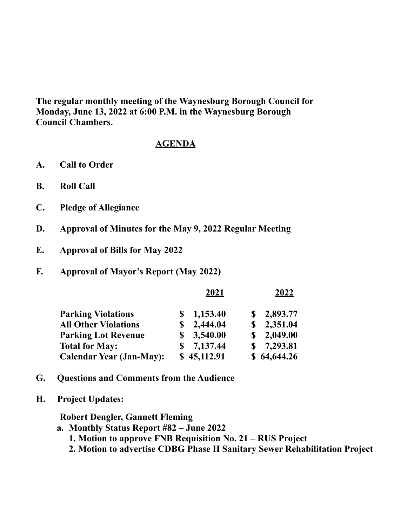**The regular monthly meeting of the Waynesburg Borough Council for Monday, June 13, 2022 at 6:00 P.M. in the Waynesburg Borough Council Chambers.**

## **AGENDA**

- **A. Call to Order**
- **B. Roll Call**
- **C. Pledge of Allegiance**
- **D. Approval of Minutes for the May 9, 2022 Regular Meeting**
- **E. Approval of Bills for May 2022**
- **F. Approval of Mayor's Report (May 2022)**

|                                 |    | 2021        |   | 2022        |  |
|---------------------------------|----|-------------|---|-------------|--|
| <b>Parking Violations</b>       |    | 1,153.40    |   | 2,893.77    |  |
| <b>All Other Violations</b>     |    | 2,444.04    | S | 2,351.04    |  |
| <b>Parking Lot Revenue</b>      | S. | 3,540.00    | S | 2,049.00    |  |
| <b>Total for May:</b>           |    | 7,137.44    | S | 7,293.81    |  |
| <b>Calendar Year (Jan-May):</b> |    | \$45,112.91 |   | \$64,644.26 |  |

- **G. Questions and Comments from the Audience**
- **H. Project Updates:**

## **Robert Dengler, Gannett Fleming**

- **a. Monthly Status Report #82 June 2022**
	- **1. Motion to approve FNB Requisition No. 21 RUS Project**
	- **2. Motion to advertise CDBG Phase II Sanitary Sewer Rehabilitation Project**